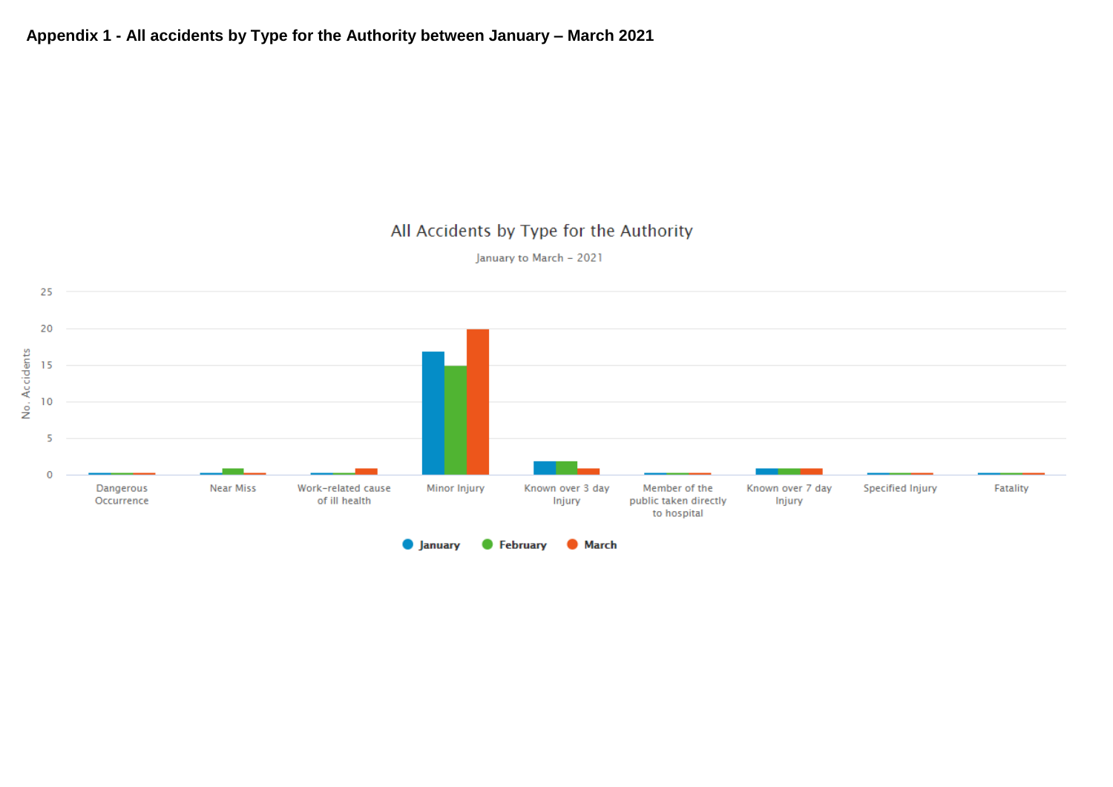January to March - 2021

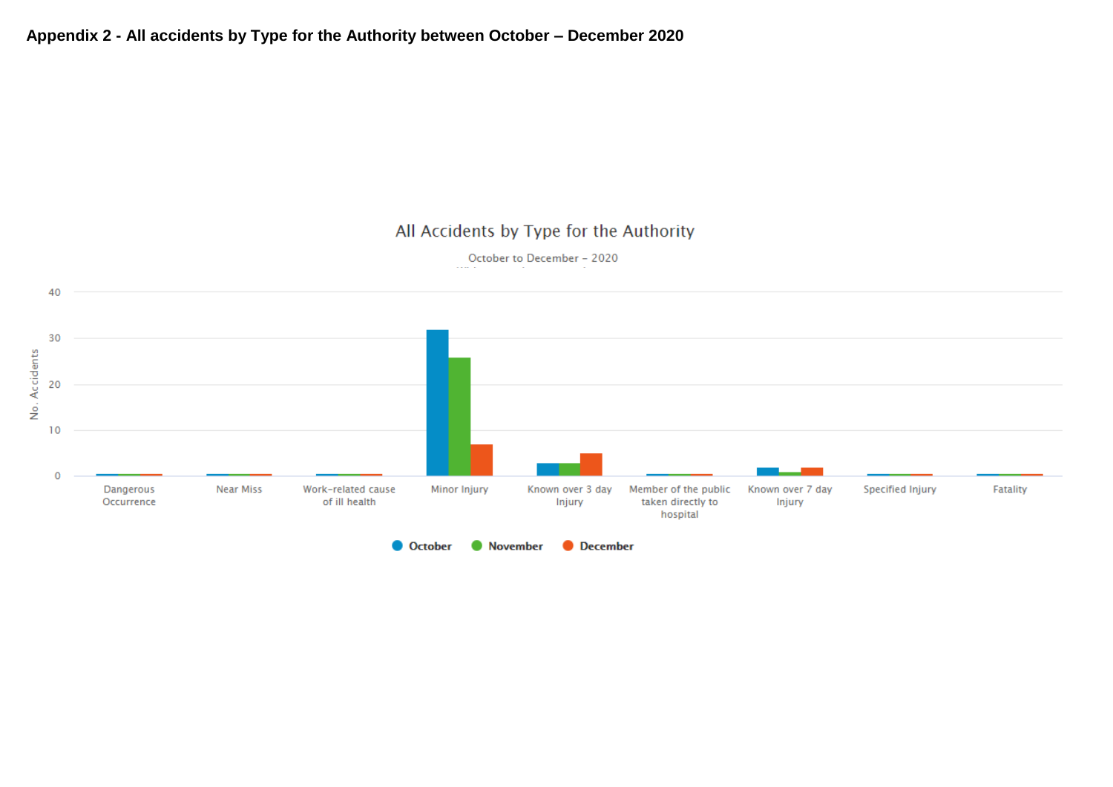October to December - 2020

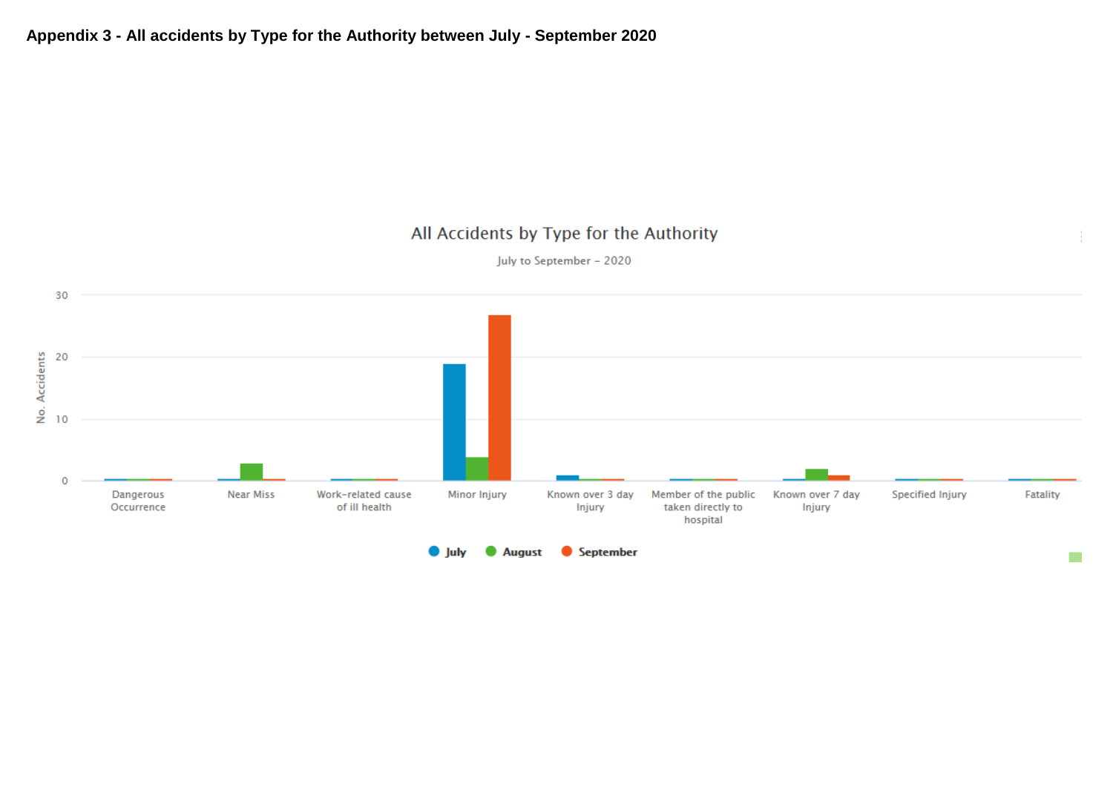

July to September - 2020

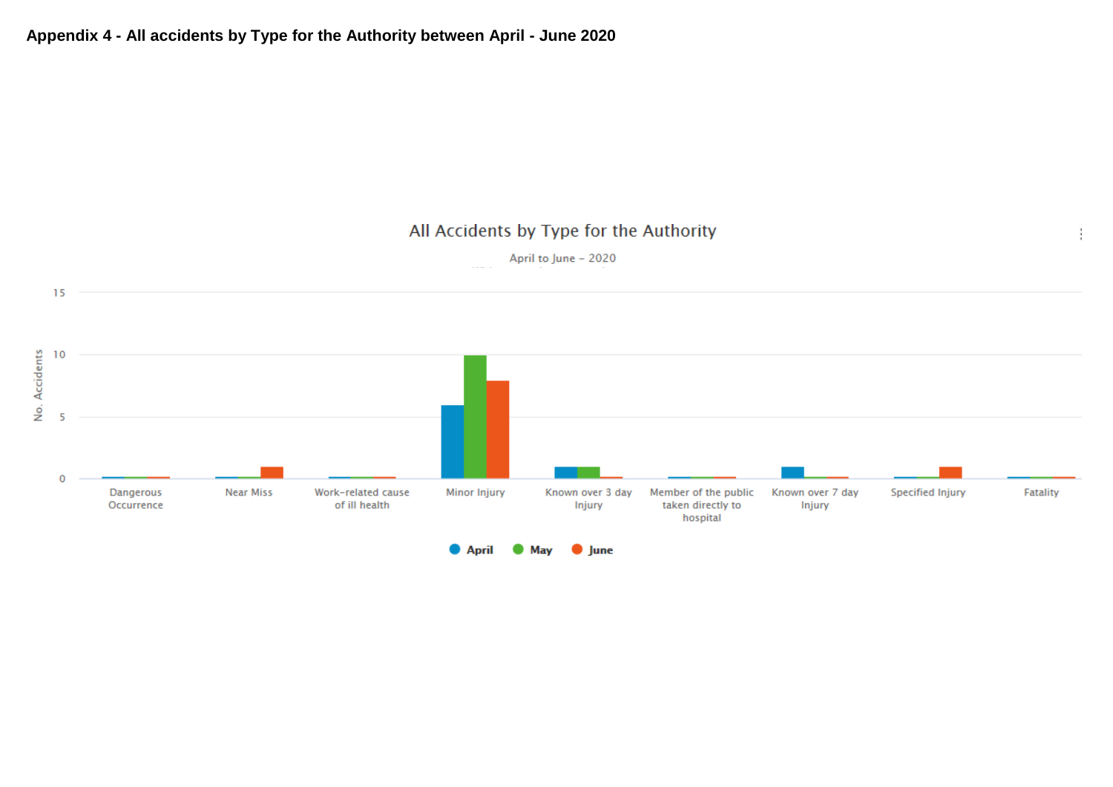ĵ.

April to June - 2020

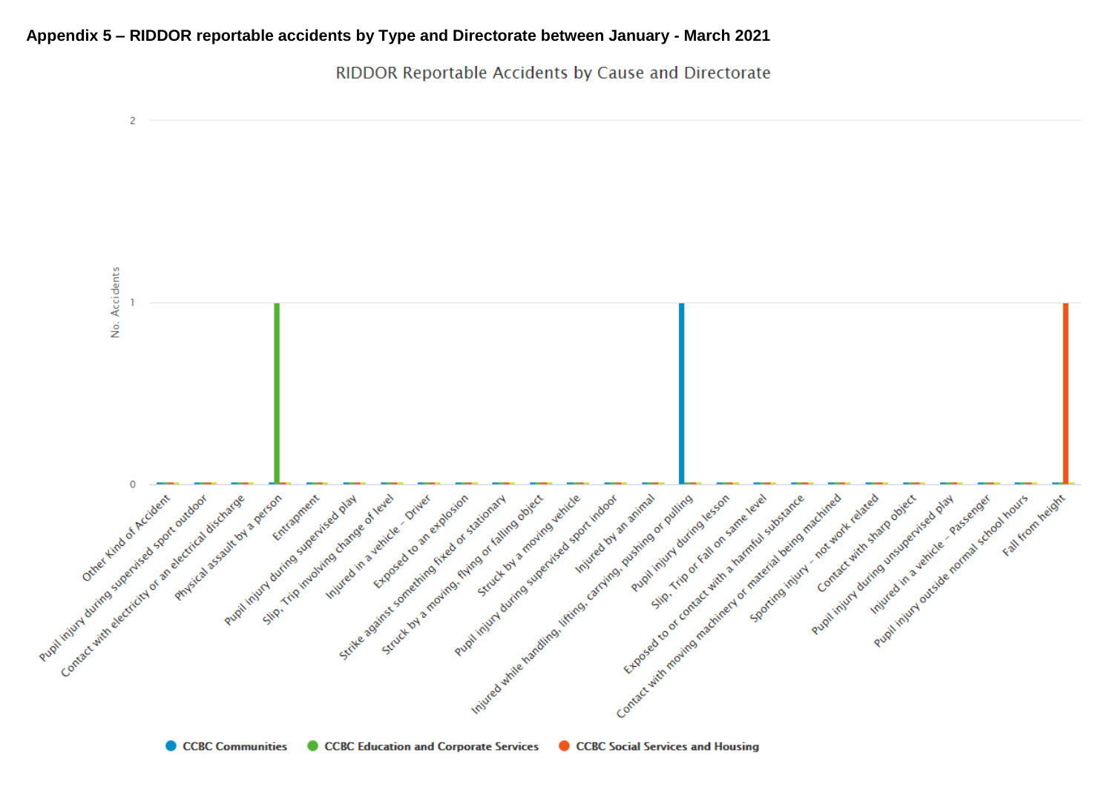### **Appendix 5 – RIDDOR reportable accidents by Type and Directorate between January - March 2021**

RIDDOR Reportable Accidents by Cause and Directorate

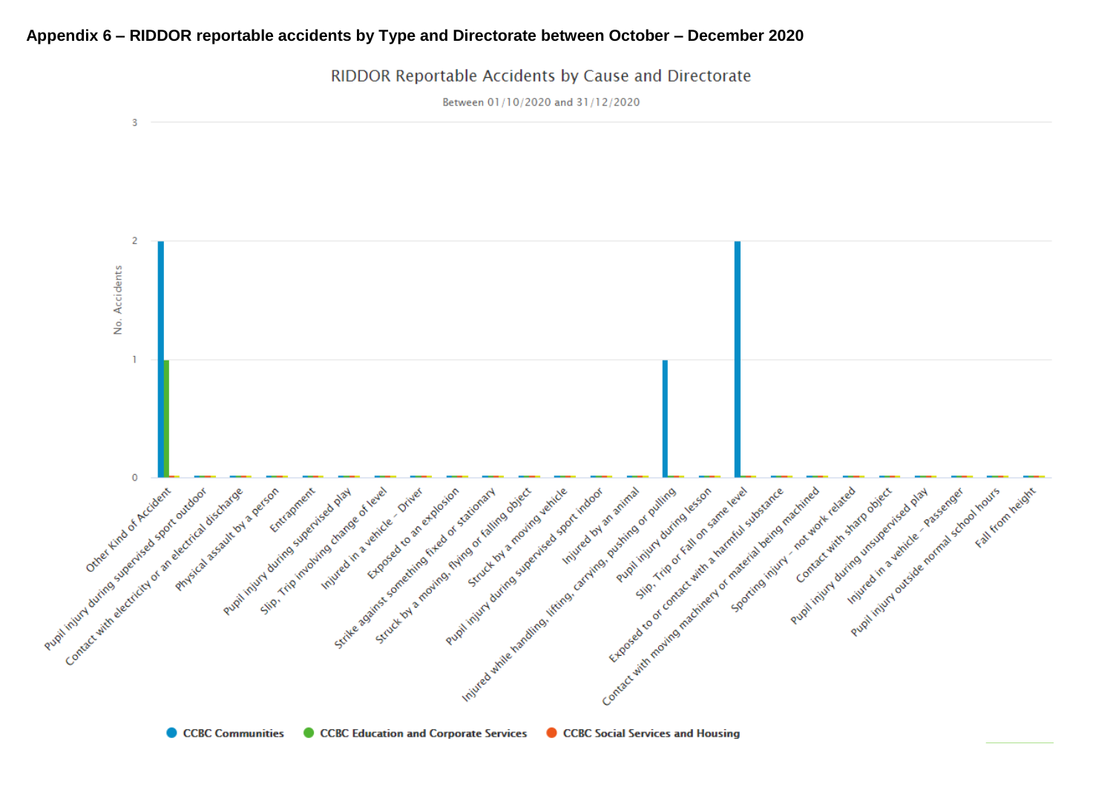#### **Appendix 6 – RIDDOR reportable accidents by Type and Directorate between October – December 2020**

-3  $\overline{2}$ No. Accidents  $\mathbf{I}$ Contact with moving the divine in the formation in contact with the state of contact with a little of production in the state of the state of the state of the state of the state of the state of the state of the state of th Pupilities of satirday and the superior of the state of the original contraction of the state of the state of the state of the state of the state of the state of the state of the state of the state of the state of the stat Pupil injuri during subscritting of a sport outdoor Contact with electricity of an electricial assembly evaluated Science of level of the prime in structure of the prime of the prime of the prime of the prime of the prime of the prime of the prime of the prime of the prime of the prime of the prime of the prime of the prime of the pri Steve of privation for stationary and the stationary Pupilihing driving supering a right of the Parties of the Parties of the Parties of the Parties of the Parties of the Parties of the Parties of the Parties of the Parties of the Parties of the Parties of the Parties of the Putition in the defender of the control control in the limit of the limit of the processes of the control of the control of the limit of the limit of the control of the control of the control of the control of the control  $\circ$ Pupil routing to the transportation of the room Pupil injury during superised parties s decant completed and a verdice of the state of the state of the state of the state of the state of the state of the state of the state of the state of the state of the state of the state of the state of the state of the Freehouteval deriver and work diving under the contract with sharp of Principles discharge exercise Injured in a vehicle of vere and elated and proceed as plant street of the street Floor Hours (Street Asset

RIDDOR Reportable Accidents by Cause and Directorate

Between 01/10/2020 and 31/12/2020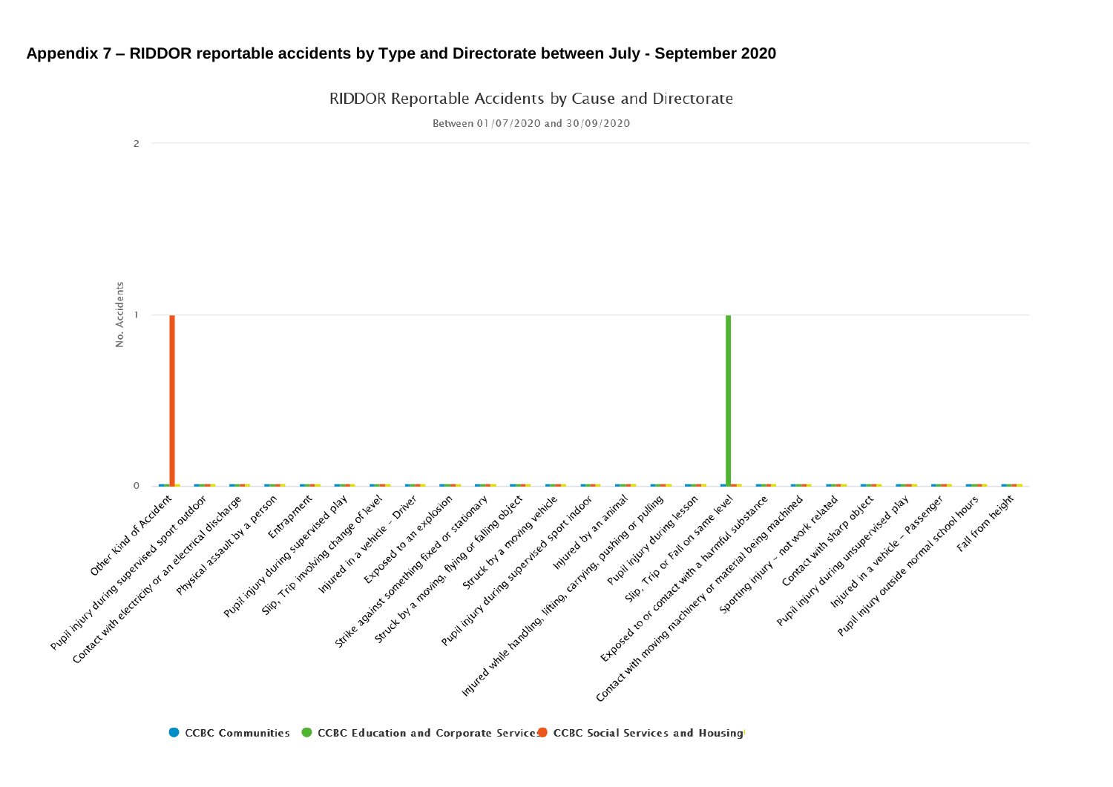### **Appendix 7 – RIDDOR reportable accidents by Type and Directorate between July - September 2020**

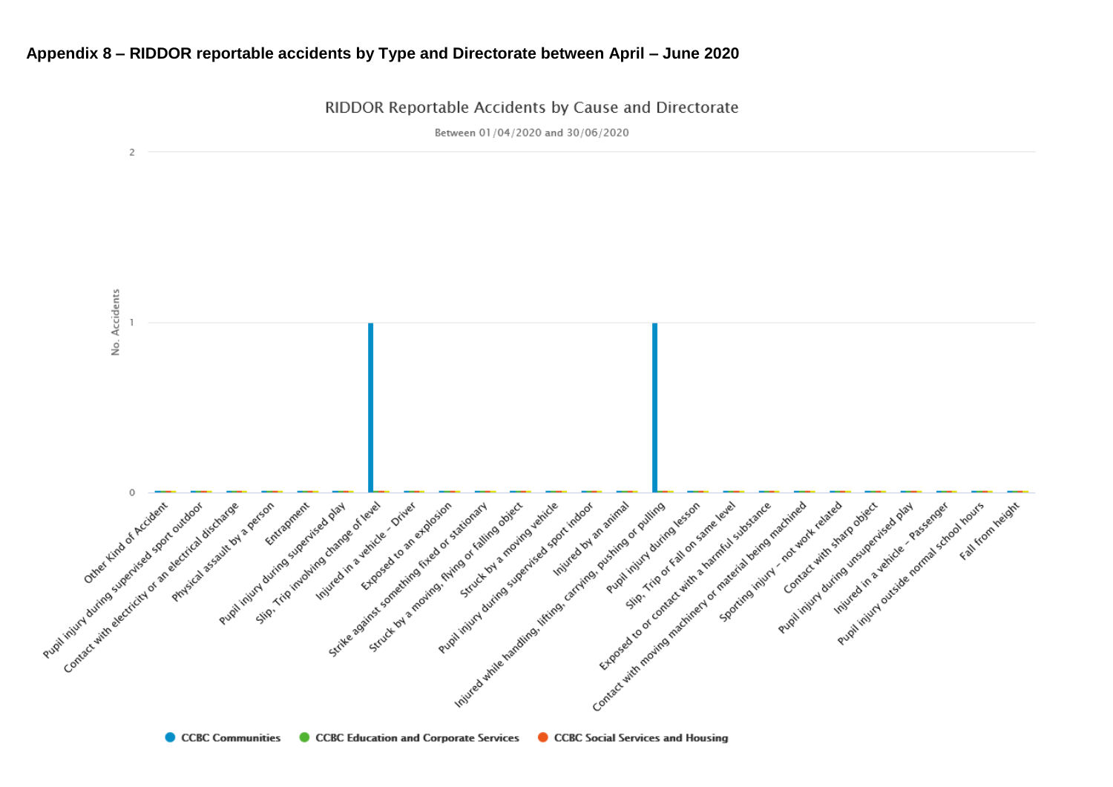### **Appendix 8 – RIDDOR reportable accidents by Type and Directorate between April – June 2020**

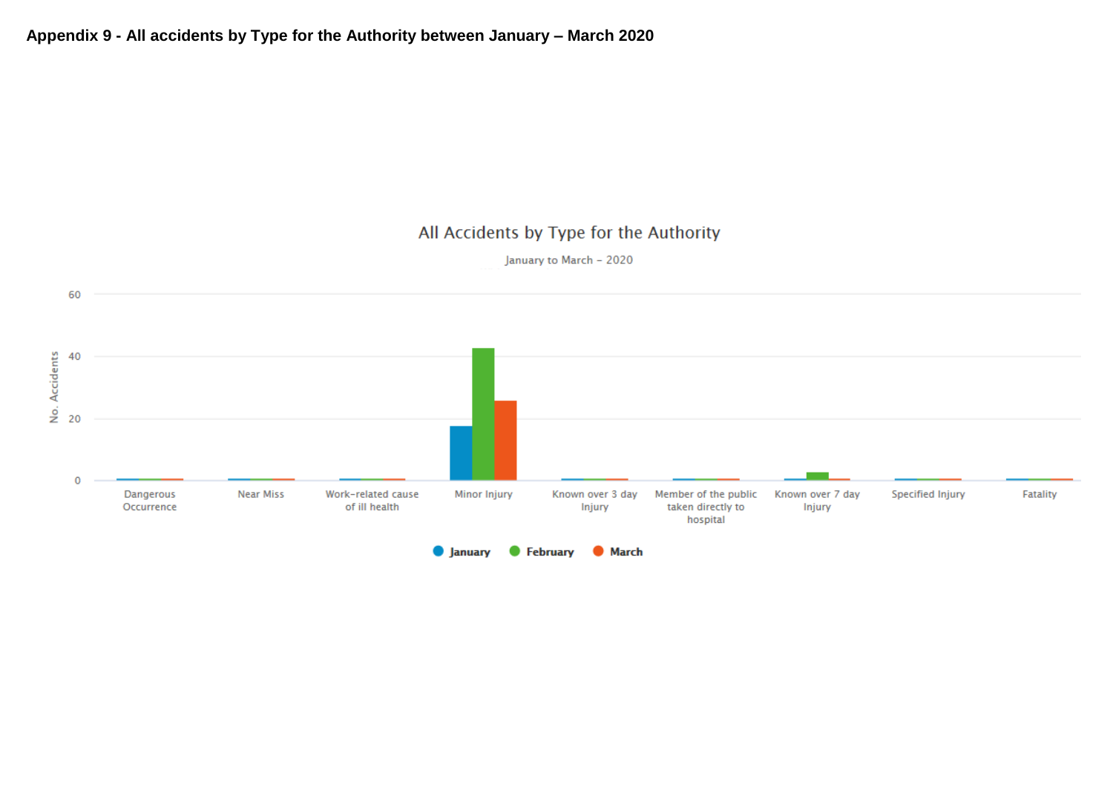January to March - 2020

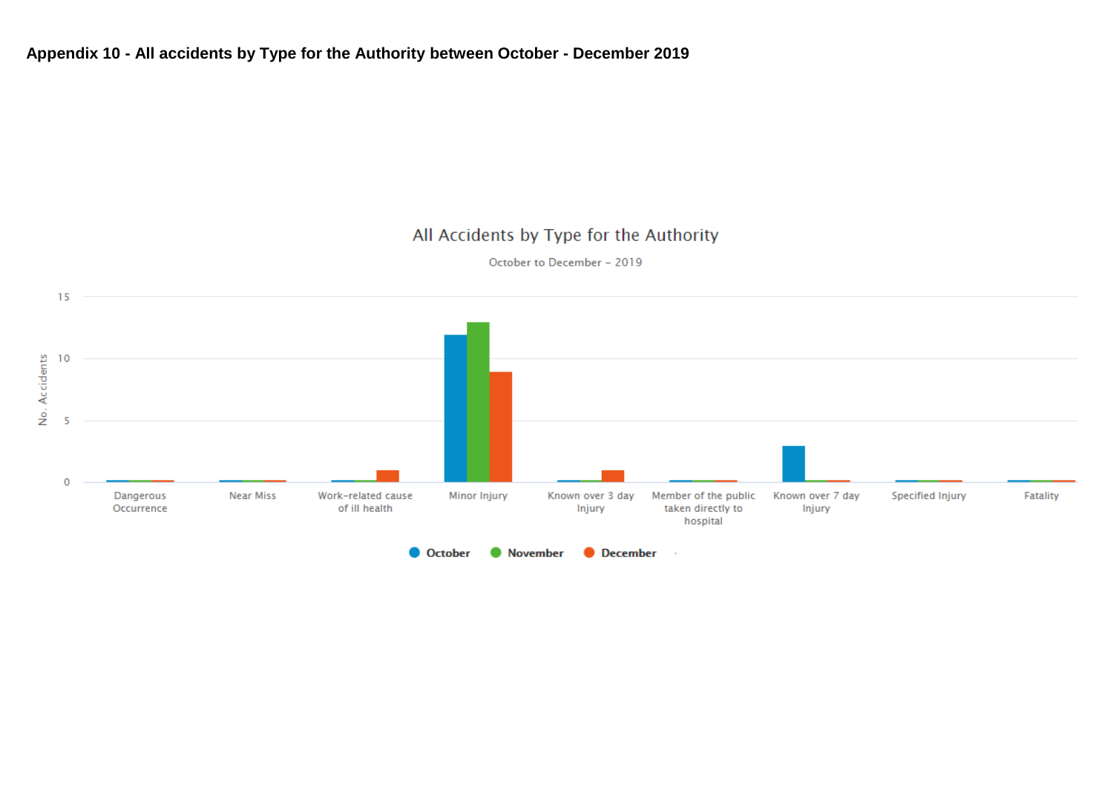### **Appendix 10 - All accidents by Type for the Authority between October - December 2019**

## All Accidents by Type for the Authority

October to December - 2019

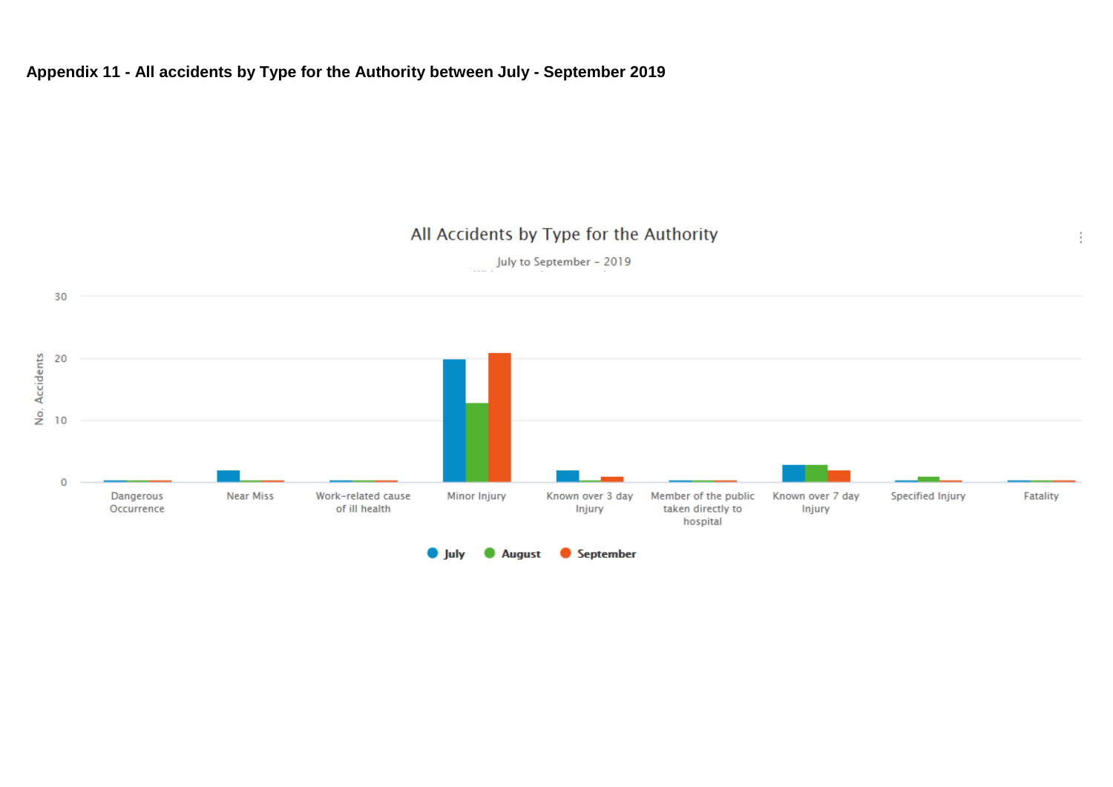## **Appendix 11 - All accidents by Type for the Authority between July - September 2019**

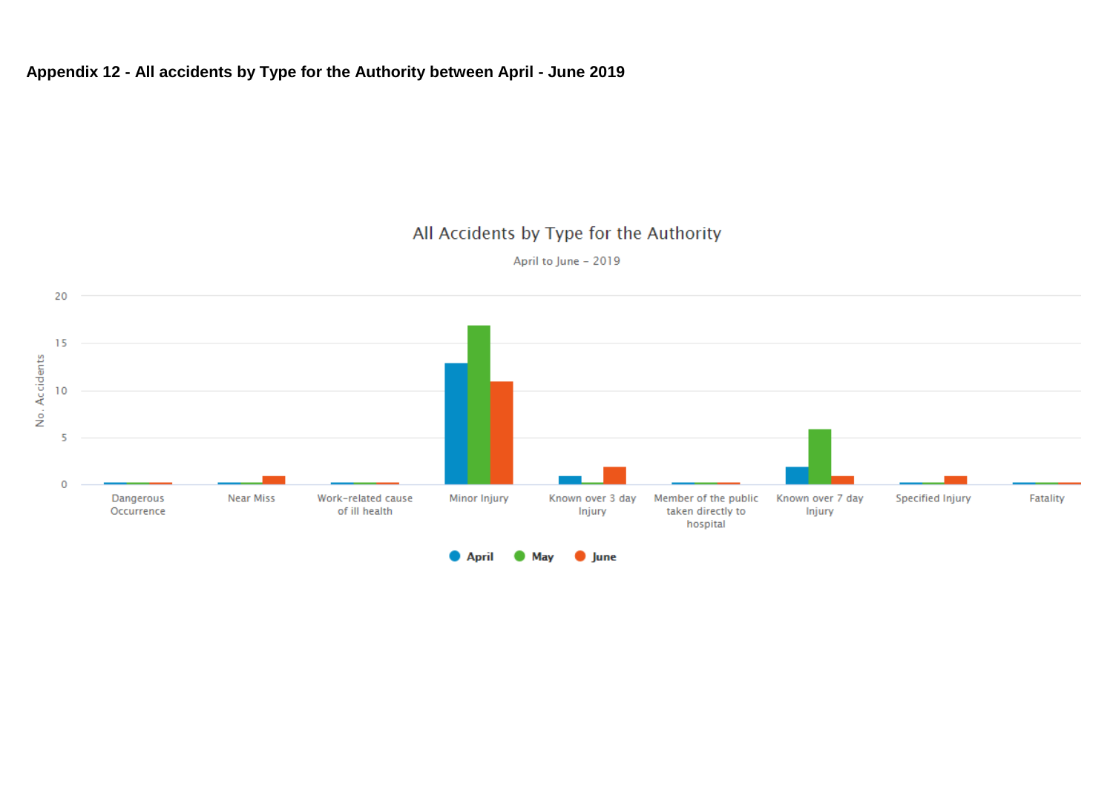## **Appendix 12 - All accidents by Type for the Authority between April - June 2019**

## All Accidents by Type for the Authority

April to June - 2019

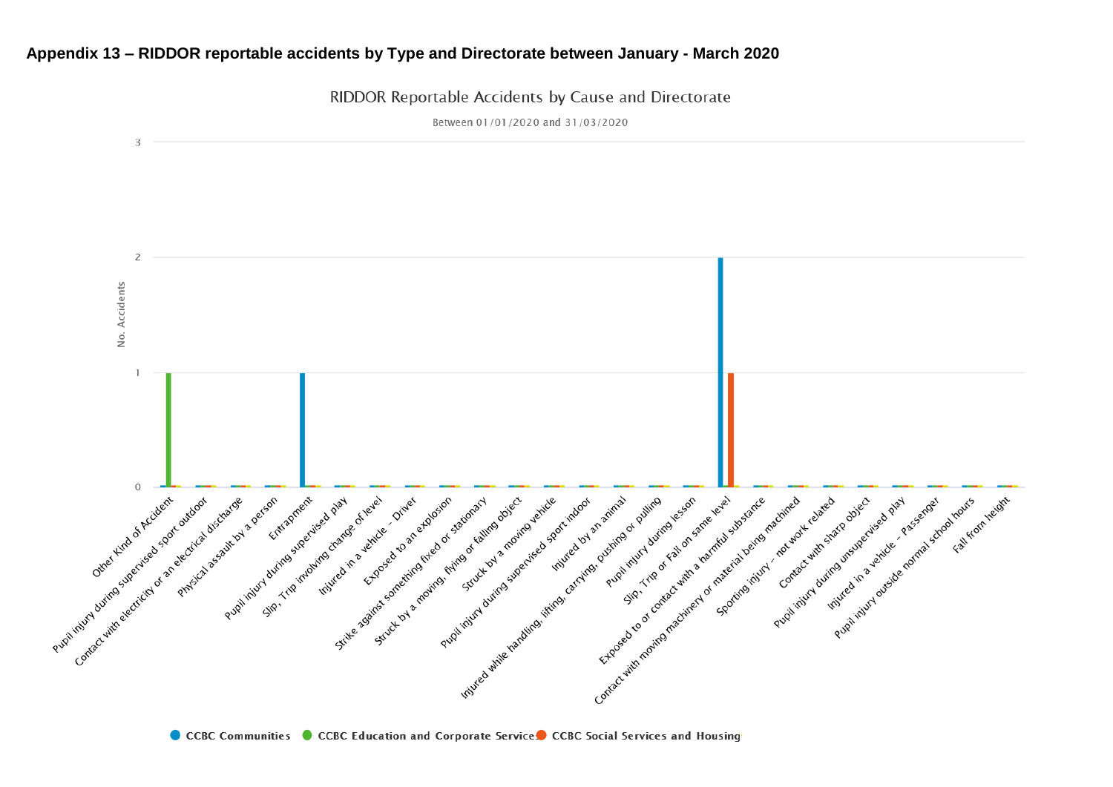### **Appendix 13 – RIDDOR reportable accidents by Type and Directorate between January - March 2020**

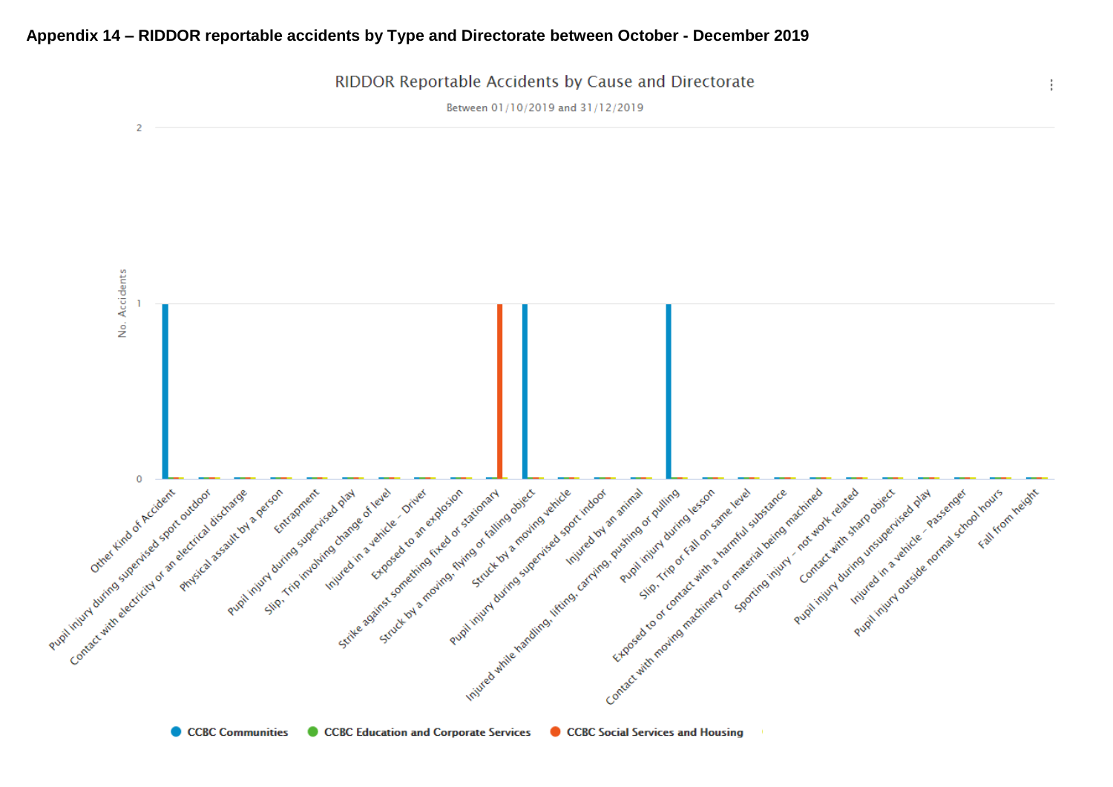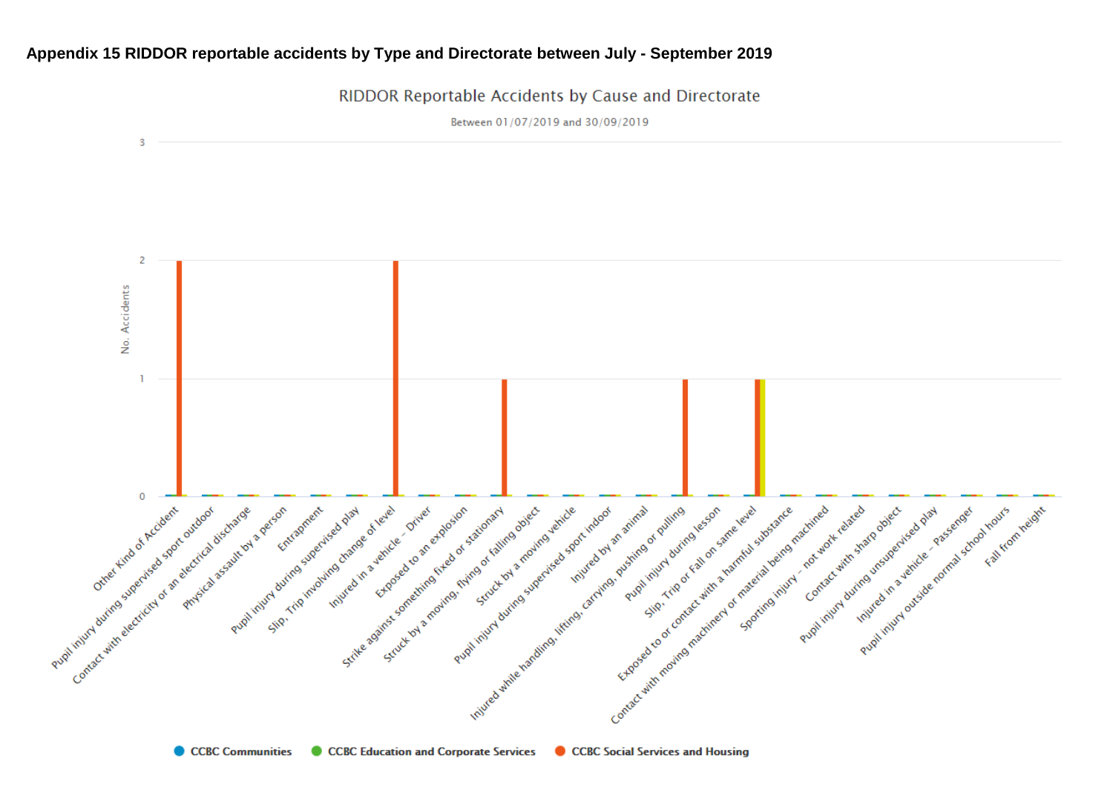### **Appendix 15 RIDDOR reportable accidents by Type and Directorate between July - September 2019**